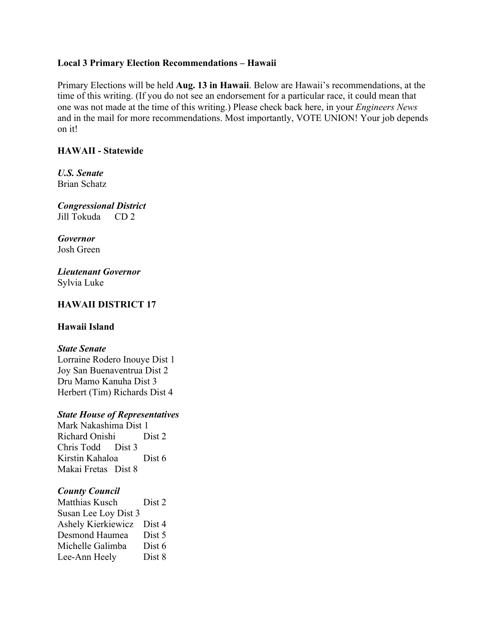## **Local 3 Primary Election Recommendations – Hawaii**

Primary Elections will be held **Aug. 13 in Hawaii**. Below are Hawaii's recommendations, at the time of this writing. (If you do not see an endorsement for a particular race, it could mean that one was not made at the time of this writing.) Please check back here, in your *Engineers News* and in the mail for more recommendations. Most importantly, VOTE UNION! Your job depends on it!

## **HAWAII - Statewide**

#### *U.S. Senate* Brian Schatz

*Congressional District* Jill Tokuda CD 2

*Governor* Josh Green

*Lieutenant Governor* Sylvia Luke

## **HAWAII DISTRICT 17**

### **Hawaii Island**

#### *State Senate*

Lorraine Rodero Inouye Dist 1 Joy San Buenaventrua Dist 2 Dru Mamo Kanuha Dist 3 Herbert (Tim) Richards Dist 4

### *State House of Representatives*

Mark Nakashima Dist 1 Richard Onishi Dist 2 Chris Todd Dist 3 Kirstin Kahaloa Dist 6 Makai Fretas Dist 8

### *County Council*

Matthias Kusch Dist 2 Susan Lee Loy Dist 3 Ashely Kierkiewicz Dist 4 Desmond Haumea Dist 5 Michelle Galimba Dist 6 Lee-Ann Heely Dist 8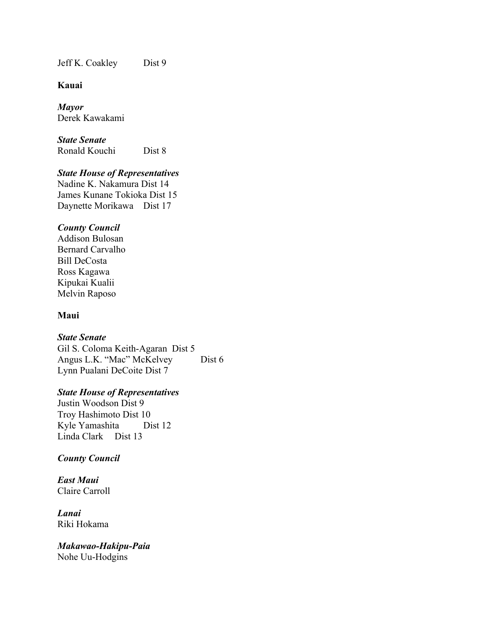Jeff K. Coakley Dist 9

**Kauai**

*Mayor* Derek Kawakami

*State Senate* Ronald Kouchi Dist 8

## *State House of Representatives*

Nadine K. Nakamura Dist 14 James Kunane Tokioka Dist 15 Daynette Morikawa Dist 17

## *County Council*

Addison Bulosan Bernard Carvalho Bill DeCosta Ross Kagawa Kipukai Kualii Melvin Raposo

## **Maui**

### *State Senate*

Gil S. Coloma Keith-Agaran Dist 5 Angus L.K. "Mac" McKelvey Dist 6 Lynn Pualani DeCoite Dist 7

## *State House of Representatives*

Justin Woodson Dist 9 Troy Hashimoto Dist 10 Kyle Yamashita Dist 12 Linda Clark Dist 13

## *County Council*

*East Maui*  Claire Carroll

*Lanai* Riki Hokama

*Makawao-Hakipu-Paia*  Nohe Uu-Hodgins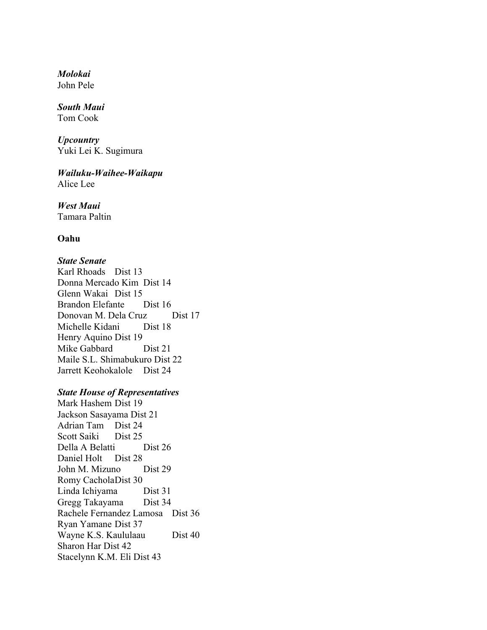*Molokai*  John Pele

#### *South Maui*

Tom Cook

*Upcountry*  Yuki Lei K. Sugimura

*Wailuku-Waihee-Waikapu*  Alice Lee

*West Maui*  Tamara Paltin

## **Oahu**

*State Senate* Karl Rhoads Dist 13 Donna Mercado Kim Dist 14 Glenn Wakai Dist 15 Brandon Elefante Dist 16 Donovan M. Dela Cruz Dist 17 Michelle Kidani Dist 18 Henry Aquino Dist 19 Mike Gabbard Dist 21 Maile S.L. Shimabukuro Dist 22 Jarrett Keohokalole Dist 24

### *State House of Representatives*

Mark Hashem Dist 19 Jackson Sasayama Dist 21 Adrian Tam Dist 24 Scott Saiki Dist 25 Della A Belatti Dist 26 Daniel Holt Dist 28 John M. Mizuno Dist 29 Romy CacholaDist 30 Linda Ichiyama Dist 31 Gregg Takayama Dist 34 Rachele Fernandez Lamosa Dist 36 Ryan Yamane Dist 37 Wayne K.S. Kaululaau Dist 40 Sharon Har Dist 42 Stacelynn K.M. Eli Dist 43